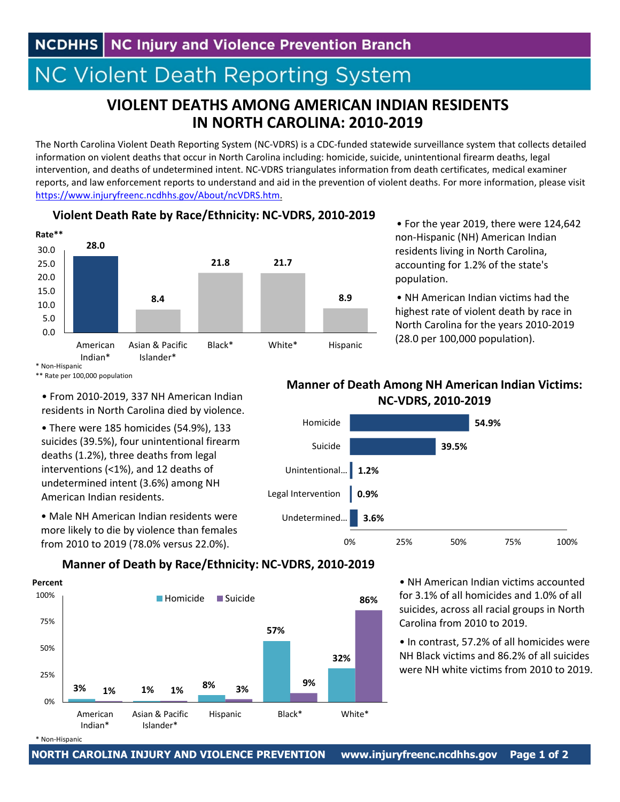# **NC Violent Death Reporting System**

## **VIOLENT DEATHS AMONG AMERICAN INDIAN RESIDENTS IN NORTH CAROLINA: 2010‐2019**

The North Carolina Violent Death Reporting System (NC‐VDRS) is a CDC‐funded statewide surveillance system that collects detailed information on violent deaths that occur in North Carolina including: homicide, suicide, unintentional firearm deaths, legal intervention, and deaths of undetermined intent. NC‐VDRS triangulates information from death certificates, medical examiner reports, and law enforcement reports to understand and aid in the prevention of violent deaths. For more information, please visit https://www.injuryfreenc.ncdhhs.gov/About/ncVDRS.htm.



**Violent Death Rate by Race/Ethnicity: NC‐VDRS, 2010‐2019**

• For the year 2019, there were 124,642 non‐Hispanic (NH) American Indian residents living in North Carolina, accounting for 1.2% of the state's population.

• NH American Indian victims had the highest rate of violent death by race in North Carolina for the years 2010‐2019 (28.0 per 100,000 population).

#### \* Non‐Hispanic \*\* Rate per 100,000 population

• From 2010‐2019, 337 NH American Indian residents in North Carolina died by violence.

• There were 185 homicides (54.9%), 133 suicides (39.5%), four unintentional firearm deaths (1.2%), three deaths from legal interventions (<1%), and 12 deaths of undetermined intent (3.6%) among NH American Indian residents.

• Male NH American Indian residents were more likely to die by violence than females from 2010 to 2019 (78.0% versus 22.0%).

### **Manner of Death Among NH American Indian Victims: NC‐VDRS, 2010‐2019**



#### **Manner of Death by Race/Ethnicity: NC‐VDRS, 2010‐2019**



• NH American Indian victims accounted for 3.1% of all homicides and 1.0% of all suicides, across all racial groups in North Carolina from 2010 to 2019.

• In contrast, 57.2% of all homicides were NH Black victims and 86.2% of all suicides were NH white victims from 2010 to 2019.

<sup>\*</sup> Non‐Hispanic